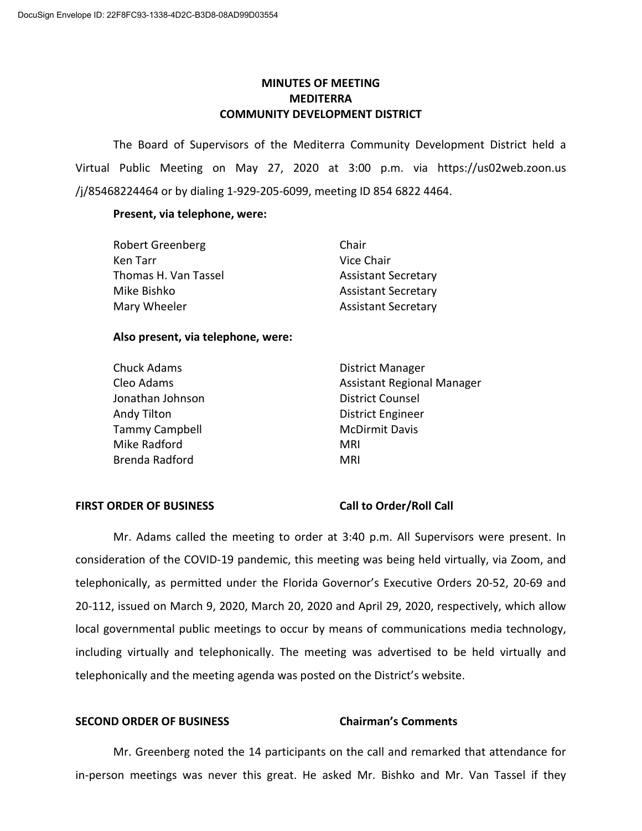# **MINUTES OF MEETING MEDITERRA COMMUNITY DEVELOPMENT DISTRICT**

The Board of Supervisors of the Mediterra Community Development District held a Virtual Public Meeting on May 27, 2020 at 3:00 p.m. via https://us02web.zoon.us /j/85468224464 or by dialing 1-929-205-6099, meeting ID 854 6822 4464.

### **Present, via telephone, were:**

| <b>Robert Greenberg</b> | Chair                      |
|-------------------------|----------------------------|
| Ken Tarr                | Vice Chair                 |
| Thomas H. Van Tassel    | <b>Assistant Secretary</b> |
| Mike Bishko             | <b>Assistant Secretary</b> |
| Mary Wheeler            | <b>Assistant Secretary</b> |

### **Also present, via telephone, were:**

| <b>Chuck Adams</b>    | <b>District Manager</b>           |
|-----------------------|-----------------------------------|
| Cleo Adams            | <b>Assistant Regional Manager</b> |
| Jonathan Johnson      | <b>District Counsel</b>           |
| Andy Tilton           | <b>District Engineer</b>          |
| <b>Tammy Campbell</b> | <b>McDirmit Davis</b>             |
| Mike Radford          | MRI                               |
| Brenda Radford        | MRI                               |

### **FIRST ORDER OF BUSINESS Call to Order/Roll Call**

Mr. Adams called the meeting to order at 3:40 p.m. All Supervisors were present. In consideration of the COVID-19 pandemic, this meeting was being held virtually, via Zoom, and telephonically, as permitted under the Florida Governor's Executive Orders 20-52, 20-69 and 20-112, issued on March 9, 2020, March 20, 2020 and April 29, 2020, respectively, which allow local governmental public meetings to occur by means of communications media technology, including virtually and telephonically. The meeting was advertised to be held virtually and telephonically and the meeting agenda was posted on the District's website.

### **SECOND ORDER OF BUSINESS Chairman's Comments**

Mr. Greenberg noted the 14 participants on the call and remarked that attendance for in-person meetings was never this great. He asked Mr. Bishko and Mr. Van Tassel if they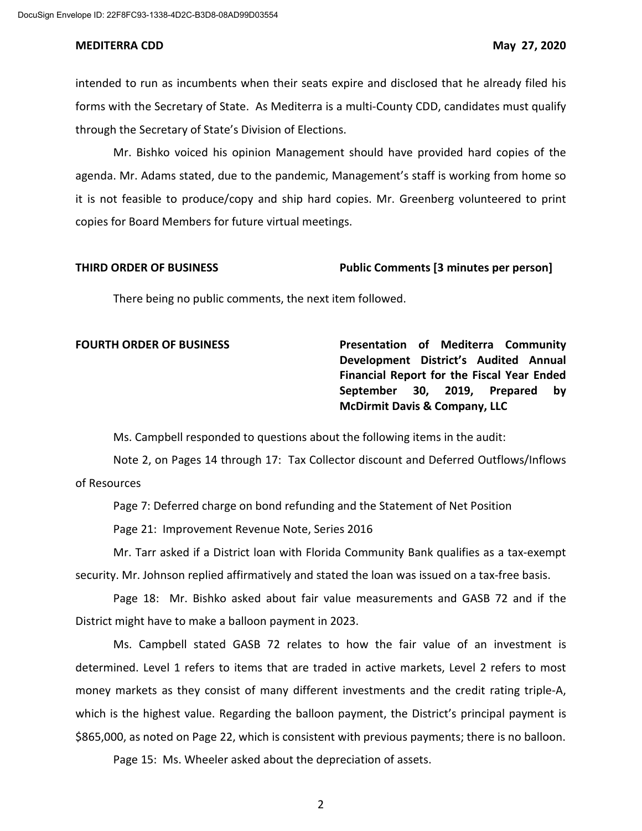intended to run as incumbents when their seats expire and disclosed that he already filed his forms with the Secretary of State. As Mediterra is a multi-County CDD, candidates must qualify through the Secretary of State's Division of Elections.

Mr. Bishko voiced his opinion Management should have provided hard copies of the agenda. Mr. Adams stated, due to the pandemic, Management's staff is working from home so it is not feasible to produce/copy and ship hard copies. Mr. Greenberg volunteered to print copies for Board Members for future virtual meetings.

### **THIRD ORDER OF BUSINESS Public Comments [3 minutes per person]**

There being no public comments, the next item followed.

**FOURTH ORDER OF BUSINESS Presentation of Mediterra Community Development District's Audited Annual Financial Report for the Fiscal Year Ended September 30, 2019, Prepared by McDirmit Davis & Company, LLC**

Ms. Campbell responded to questions about the following items in the audit:

Note 2, on Pages 14 through 17: Tax Collector discount and Deferred Outflows/Inflows of Resources

Page 7: Deferred charge on bond refunding and the Statement of Net Position

Page 21: Improvement Revenue Note, Series 2016

Mr. Tarr asked if a District loan with Florida Community Bank qualifies as a tax-exempt security. Mr. Johnson replied affirmatively and stated the loan was issued on a tax-free basis.

Page 18: Mr. Bishko asked about fair value measurements and GASB 72 and if the District might have to make a balloon payment in 2023.

Ms. Campbell stated GASB 72 relates to how the fair value of an investment is determined. Level 1 refers to items that are traded in active markets, Level 2 refers to most money markets as they consist of many different investments and the credit rating triple-A, which is the highest value. Regarding the balloon payment, the District's principal payment is \$865,000, as noted on Page 22, which is consistent with previous payments; there is no balloon.

Page 15: Ms. Wheeler asked about the depreciation of assets.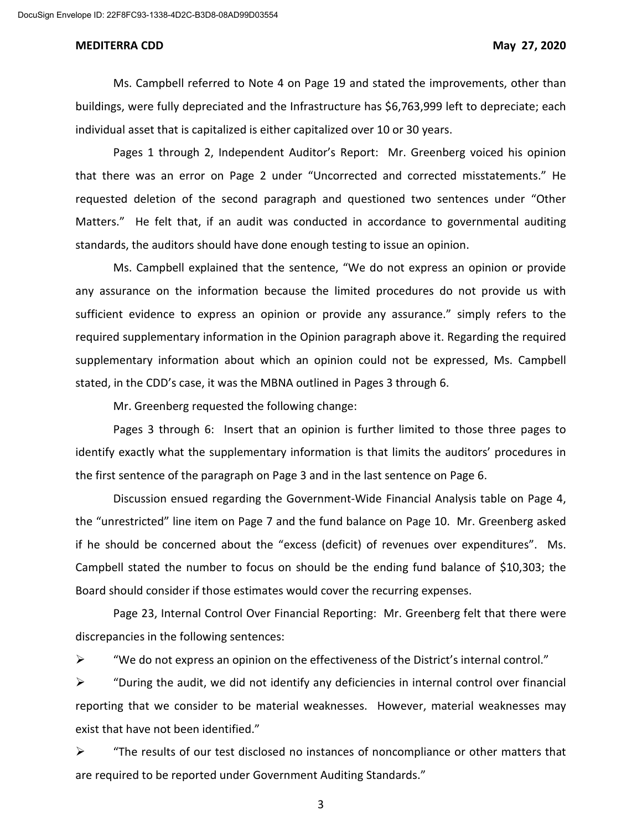Ms. Campbell referred to Note 4 on Page 19 and stated the improvements, other than buildings, were fully depreciated and the Infrastructure has \$6,763,999 left to depreciate; each individual asset that is capitalized is either capitalized over 10 or 30 years.

Pages 1 through 2, Independent Auditor's Report: Mr. Greenberg voiced his opinion that there was an error on Page 2 under "Uncorrected and corrected misstatements." He requested deletion of the second paragraph and questioned two sentences under "Other Matters." He felt that, if an audit was conducted in accordance to governmental auditing standards, the auditors should have done enough testing to issue an opinion.

Ms. Campbell explained that the sentence, "We do not express an opinion or provide any assurance on the information because the limited procedures do not provide us with sufficient evidence to express an opinion or provide any assurance." simply refers to the required supplementary information in the Opinion paragraph above it. Regarding the required supplementary information about which an opinion could not be expressed, Ms. Campbell stated, in the CDD's case, it was the MBNA outlined in Pages 3 through 6.

Mr. Greenberg requested the following change:

Pages 3 through 6: Insert that an opinion is further limited to those three pages to identify exactly what the supplementary information is that limits the auditors' procedures in the first sentence of the paragraph on Page 3 and in the last sentence on Page 6.

Discussion ensued regarding the Government-Wide Financial Analysis table on Page 4, the "unrestricted" line item on Page 7 and the fund balance on Page 10. Mr. Greenberg asked if he should be concerned about the "excess (deficit) of revenues over expenditures". Ms. Campbell stated the number to focus on should be the ending fund balance of \$10,303; the Board should consider if those estimates would cover the recurring expenses.

Page 23, Internal Control Over Financial Reporting: Mr. Greenberg felt that there were discrepancies in the following sentences:

 $\triangleright$  "We do not express an opinion on the effectiveness of the District's internal control."

 $\triangleright$  "During the audit, we did not identify any deficiencies in internal control over financial reporting that we consider to be material weaknesses. However, material weaknesses may exist that have not been identified."

 $\triangleright$  "The results of our test disclosed no instances of noncompliance or other matters that are required to be reported under Government Auditing Standards."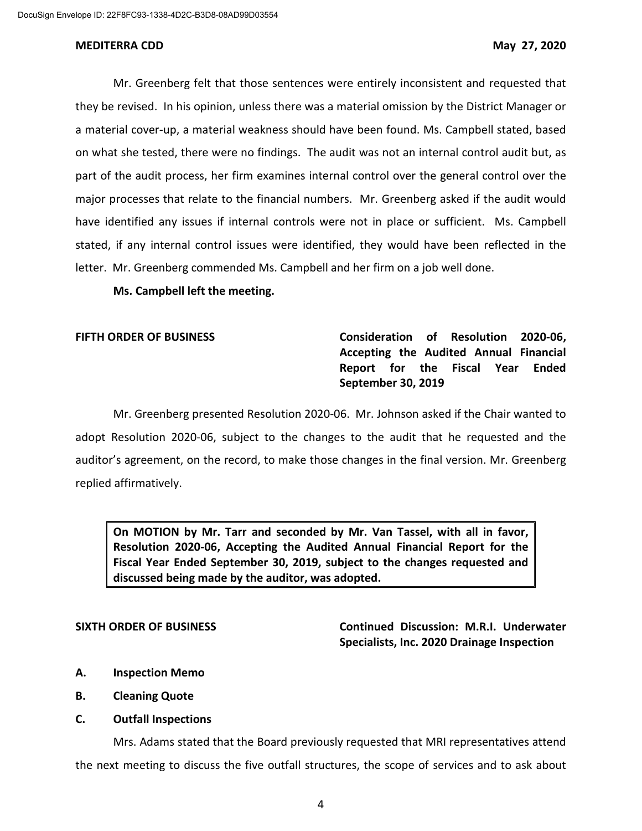Mr. Greenberg felt that those sentences were entirely inconsistent and requested that they be revised. In his opinion, unless there was a material omission by the District Manager or a material cover-up, a material weakness should have been found. Ms. Campbell stated, based on what she tested, there were no findings. The audit was not an internal control audit but, as part of the audit process, her firm examines internal control over the general control over the major processes that relate to the financial numbers. Mr. Greenberg asked if the audit would have identified any issues if internal controls were not in place or sufficient. Ms. Campbell stated, if any internal control issues were identified, they would have been reflected in the letter. Mr. Greenberg commended Ms. Campbell and her firm on a job well done.

**Ms. Campbell left the meeting.**

**FIFTH ORDER OF BUSINESS Consideration of Resolution 2020-06, Accepting the Audited Annual Financial Report for the Fiscal Year Ended September 30, 2019** 

Mr. Greenberg presented Resolution 2020-06. Mr. Johnson asked if the Chair wanted to adopt Resolution 2020-06, subject to the changes to the audit that he requested and the auditor's agreement, on the record, to make those changes in the final version. Mr. Greenberg replied affirmatively.

**On MOTION by Mr. Tarr and seconded by Mr. Van Tassel, with all in favor, Resolution 2020-06, Accepting the Audited Annual Financial Report for the Fiscal Year Ended September 30, 2019, subject to the changes requested and discussed being made by the auditor, was adopted.**

**SIXTH ORDER OF BUSINESS Continued Discussion: M.R.I. Underwater Specialists, Inc. 2020 Drainage Inspection** 

- **A. Inspection Memo**
- **B. Cleaning Quote**
- **C. Outfall Inspections**

Mrs. Adams stated that the Board previously requested that MRI representatives attend the next meeting to discuss the five outfall structures, the scope of services and to ask about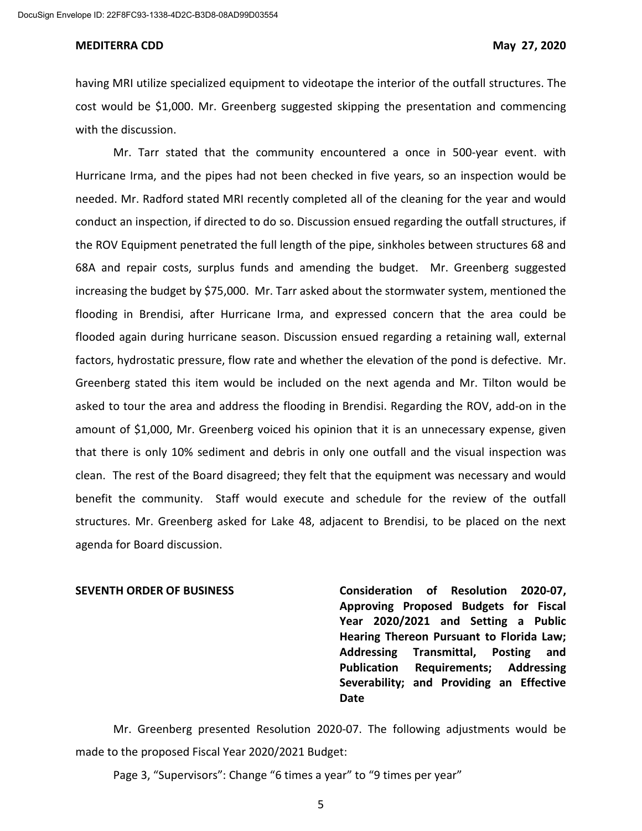having MRI utilize specialized equipment to videotape the interior of the outfall structures. The cost would be \$1,000. Mr. Greenberg suggested skipping the presentation and commencing with the discussion.

Mr. Tarr stated that the community encountered a once in 500-year event. with Hurricane Irma, and the pipes had not been checked in five years, so an inspection would be needed. Mr. Radford stated MRI recently completed all of the cleaning for the year and would conduct an inspection, if directed to do so. Discussion ensued regarding the outfall structures, if the ROV Equipment penetrated the full length of the pipe, sinkholes between structures 68 and 68A and repair costs, surplus funds and amending the budget. Mr. Greenberg suggested increasing the budget by \$75,000. Mr. Tarr asked about the stormwater system, mentioned the flooding in Brendisi, after Hurricane Irma, and expressed concern that the area could be flooded again during hurricane season. Discussion ensued regarding a retaining wall, external factors, hydrostatic pressure, flow rate and whether the elevation of the pond is defective. Mr. Greenberg stated this item would be included on the next agenda and Mr. Tilton would be asked to tour the area and address the flooding in Brendisi. Regarding the ROV, add-on in the amount of \$1,000, Mr. Greenberg voiced his opinion that it is an unnecessary expense, given that there is only 10% sediment and debris in only one outfall and the visual inspection was clean. The rest of the Board disagreed; they felt that the equipment was necessary and would benefit the community. Staff would execute and schedule for the review of the outfall structures. Mr. Greenberg asked for Lake 48, adjacent to Brendisi, to be placed on the next agenda for Board discussion.

**SEVENTH ORDER OF BUSINESS Consideration of Resolution 2020-07, Approving Proposed Budgets for Fiscal Year 2020/2021 and Setting a Public Hearing Thereon Pursuant to Florida Law; Addressing Transmittal, Posting and Publication Requirements; Addressing Severability; and Providing an Effective Date**

Mr. Greenberg presented Resolution 2020-07. The following adjustments would be made to the proposed Fiscal Year 2020/2021 Budget:

Page 3, "Supervisors": Change "6 times a year" to "9 times per year"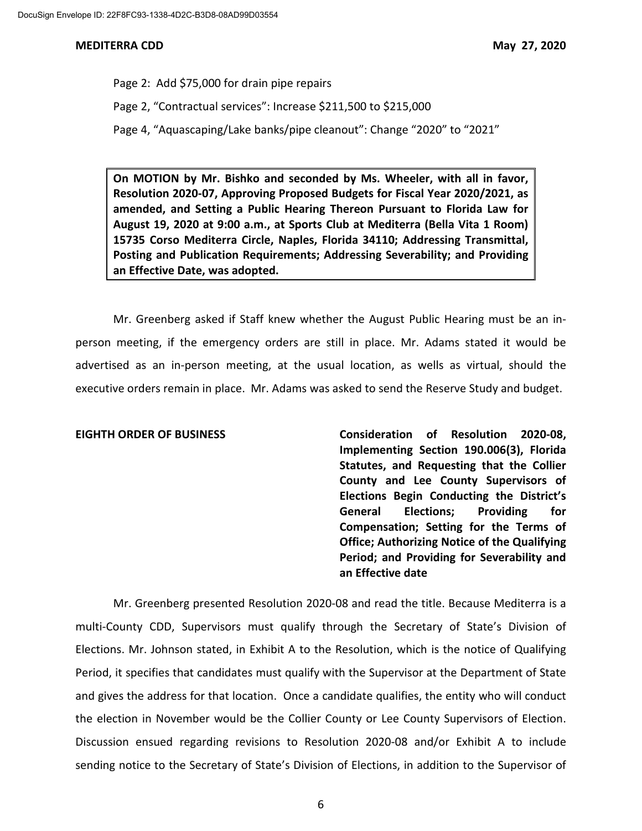Page 2: Add \$75,000 for drain pipe repairs Page 2, "Contractual services": Increase \$211,500 to \$215,000 Page 4, "Aquascaping/Lake banks/pipe cleanout": Change "2020" to "2021"

**On MOTION by Mr. Bishko and seconded by Ms. Wheeler, with all in favor, Resolution 2020-07, Approving Proposed Budgets for Fiscal Year 2020/2021, as amended, and Setting a Public Hearing Thereon Pursuant to Florida Law for August 19, 2020 at 9:00 a.m., at Sports Club at Mediterra (Bella Vita 1 Room) 15735 Corso Mediterra Circle, Naples, Florida 34110; Addressing Transmittal, Posting and Publication Requirements; Addressing Severability; and Providing an Effective Date, was adopted.**

Mr. Greenberg asked if Staff knew whether the August Public Hearing must be an inperson meeting, if the emergency orders are still in place. Mr. Adams stated it would be advertised as an in-person meeting, at the usual location, as wells as virtual, should the executive orders remain in place. Mr. Adams was asked to send the Reserve Study and budget.

**EIGHTH ORDER OF BUSINESS Consideration of Resolution 2020-08, Implementing Section 190.006(3), Florida Statutes, and Requesting that the Collier County and Lee County Supervisors of Elections Begin Conducting the District's General Elections; Providing for Compensation; Setting for the Terms of Office; Authorizing Notice of the Qualifying Period; and Providing for Severability and an Effective date**

Mr. Greenberg presented Resolution 2020-08 and read the title. Because Mediterra is a multi-County CDD, Supervisors must qualify through the Secretary of State's Division of Elections. Mr. Johnson stated, in Exhibit A to the Resolution, which is the notice of Qualifying Period, it specifies that candidates must qualify with the Supervisor at the Department of State and gives the address for that location. Once a candidate qualifies, the entity who will conduct the election in November would be the Collier County or Lee County Supervisors of Election. Discussion ensued regarding revisions to Resolution 2020-08 and/or Exhibit A to include sending notice to the Secretary of State's Division of Elections, in addition to the Supervisor of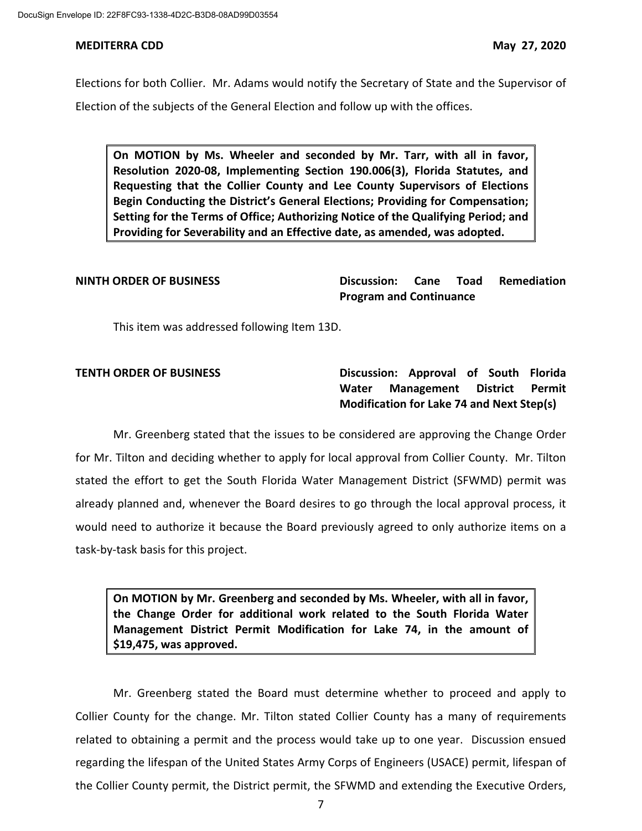Elections for both Collier. Mr. Adams would notify the Secretary of State and the Supervisor of Election of the subjects of the General Election and follow up with the offices.

**On MOTION by Ms. Wheeler and seconded by Mr. Tarr, with all in favor, Resolution 2020-08, Implementing Section 190.006(3), Florida Statutes, and Requesting that the Collier County and Lee County Supervisors of Elections Begin Conducting the District's General Elections; Providing for Compensation; Setting for the Terms of Office; Authorizing Notice of the Qualifying Period; and Providing for Severability and an Effective date, as amended, was adopted.**

**NINTH ORDER OF BUSINESS Discussion: Cane Toad Remediation Program and Continuance**

This item was addressed following Item 13D.

**TENTH ORDER OF BUSINESS Discussion: Approval of South Florida Water Management District Permit Modification for Lake 74 and Next Step(s)**

Mr. Greenberg stated that the issues to be considered are approving the Change Order for Mr. Tilton and deciding whether to apply for local approval from Collier County. Mr. Tilton stated the effort to get the South Florida Water Management District (SFWMD) permit was already planned and, whenever the Board desires to go through the local approval process, it would need to authorize it because the Board previously agreed to only authorize items on a task-by-task basis for this project.

**On MOTION by Mr. Greenberg and seconded by Ms. Wheeler, with all in favor, the Change Order for additional work related to the South Florida Water Management District Permit Modification for Lake 74, in the amount of \$19,475, was approved.**

Mr. Greenberg stated the Board must determine whether to proceed and apply to Collier County for the change. Mr. Tilton stated Collier County has a many of requirements related to obtaining a permit and the process would take up to one year. Discussion ensued regarding the lifespan of the United States Army Corps of Engineers (USACE) permit, lifespan of the Collier County permit, the District permit, the SFWMD and extending the Executive Orders,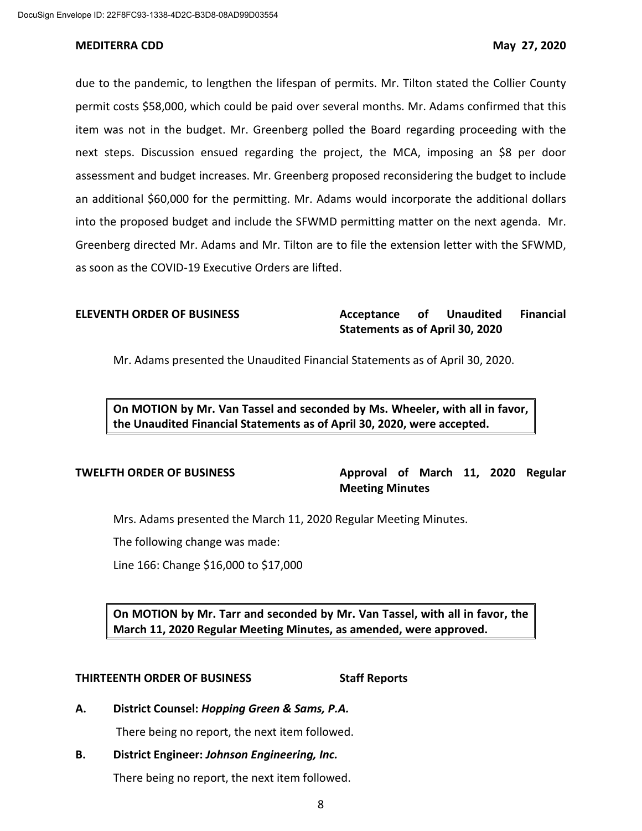due to the pandemic, to lengthen the lifespan of permits. Mr. Tilton stated the Collier County permit costs \$58,000, which could be paid over several months. Mr. Adams confirmed that this item was not in the budget. Mr. Greenberg polled the Board regarding proceeding with the next steps. Discussion ensued regarding the project, the MCA, imposing an \$8 per door assessment and budget increases. Mr. Greenberg proposed reconsidering the budget to include an additional \$60,000 for the permitting. Mr. Adams would incorporate the additional dollars into the proposed budget and include the SFWMD permitting matter on the next agenda. Mr. Greenberg directed Mr. Adams and Mr. Tilton are to file the extension letter with the SFWMD, as soon as the COVID-19 Executive Orders are lifted.

# **ELEVENTH ORDER OF BUSINESS Acceptance of Unaudited Financial Statements as of April 30, 2020**

Mr. Adams presented the Unaudited Financial Statements as of April 30, 2020.

**On MOTION by Mr. Van Tassel and seconded by Ms. Wheeler, with all in favor, the Unaudited Financial Statements as of April 30, 2020, were accepted.**

# **TWELFTH ORDER OF BUSINESS Approval of March 11, 2020 Regular Meeting Minutes**

Mrs. Adams presented the March 11, 2020 Regular Meeting Minutes.

The following change was made:

Line 166: Change \$16,000 to \$17,000

**On MOTION by Mr. Tarr and seconded by Mr. Van Tassel, with all in favor, the March 11, 2020 Regular Meeting Minutes, as amended, were approved.**

### **THIRTEENTH ORDER OF BUSINESS Staff Reports**

**A. District Counsel:** *Hopping Green & Sams, P.A.*

There being no report, the next item followed.

# **B. District Engineer:** *Johnson Engineering, Inc.*

There being no report, the next item followed.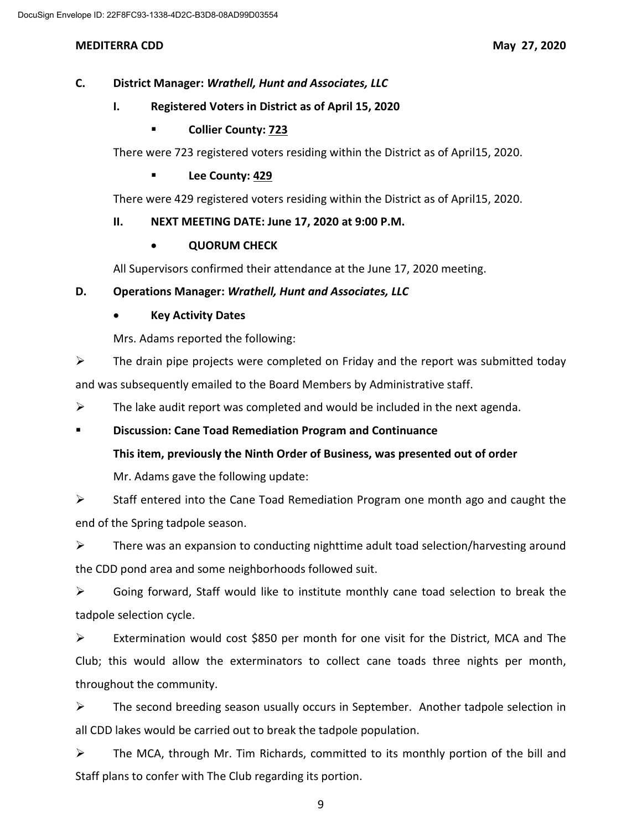# **C. District Manager:** *Wrathell, Hunt and Associates, LLC*

## **I. Registered Voters in District as of April 15, 2020**

## **Collier County: 723**

There were 723 registered voters residing within the District as of April15, 2020.

## **Lee County: 429**

There were 429 registered voters residing within the District as of April15, 2020.

## **II. NEXT MEETING DATE: June 17, 2020 at 9:00 P.M.**

## • **QUORUM CHECK**

All Supervisors confirmed their attendance at the June 17, 2020 meeting.

# **D. Operations Manager:** *Wrathell, Hunt and Associates, LLC*

# • **Key Activity Dates**

Mrs. Adams reported the following:

 $\triangleright$  The drain pipe projects were completed on Friday and the report was submitted today and was subsequently emailed to the Board Members by Administrative staff.

 $\triangleright$  The lake audit report was completed and would be included in the next agenda.

# **Discussion: Cane Toad Remediation Program and Continuance**

# **This item, previously the Ninth Order of Business, was presented out of order**

Mr. Adams gave the following update:

 $\triangleright$  Staff entered into the Cane Toad Remediation Program one month ago and caught the end of the Spring tadpole season.

 $\triangleright$  There was an expansion to conducting nighttime adult toad selection/harvesting around the CDD pond area and some neighborhoods followed suit.

 $\triangleright$  Going forward, Staff would like to institute monthly cane toad selection to break the tadpole selection cycle.

Extermination would cost \$850 per month for one visit for the District, MCA and The Club; this would allow the exterminators to collect cane toads three nights per month, throughout the community.

 $\triangleright$  The second breeding season usually occurs in September. Another tadpole selection in all CDD lakes would be carried out to break the tadpole population.

 $\triangleright$  The MCA, through Mr. Tim Richards, committed to its monthly portion of the bill and Staff plans to confer with The Club regarding its portion.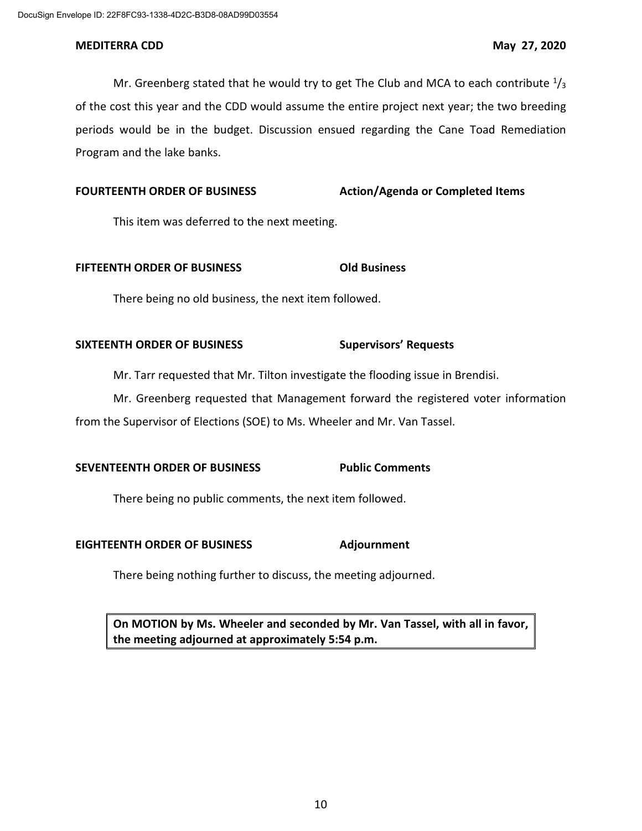Mr. Greenberg stated that he would try to get The Club and MCA to each contribute  $\frac{1}{3}$ of the cost this year and the CDD would assume the entire project next year; the two breeding periods would be in the budget. Discussion ensued regarding the Cane Toad Remediation Program and the lake banks.

# **FOURTEENTH ORDER OF BUSINESS Action/Agenda or Completed Items**

This item was deferred to the next meeting.

## **FIFTEENTH ORDER OF BUSINESS Old Business**

There being no old business, the next item followed.

## **SIXTEENTH ORDER OF BUSINESS Supervisors' Requests**

Mr. Tarr requested that Mr. Tilton investigate the flooding issue in Brendisi.

Mr. Greenberg requested that Management forward the registered voter information from the Supervisor of Elections (SOE) to Ms. Wheeler and Mr. Van Tassel.

# **SEVENTEENTH ORDER OF BUSINESS Public Comments**

There being no public comments, the next item followed.

# **EIGHTEENTH ORDER OF BUSINESS Adjournment**

There being nothing further to discuss, the meeting adjourned.

**On MOTION by Ms. Wheeler and seconded by Mr. Van Tassel, with all in favor, the meeting adjourned at approximately 5:54 p.m.**